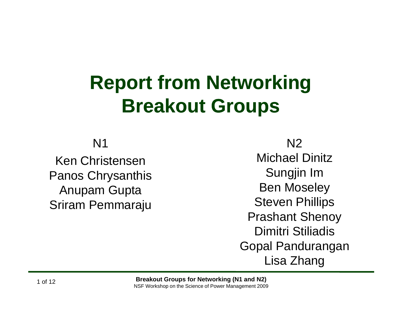# **Report from Networking Breakout Groups**

N1

Ken ChristensenPanos Chrysanthis **Example 20 Sungjin Im** Anupam Gupta Sriram Pemmaraju

N2

Michael DinitzSungjin Im Ben Moseley Steven Phillips Prashant Shenoy Dimitri StiliadisGopal Pandurangan Lisa Zhang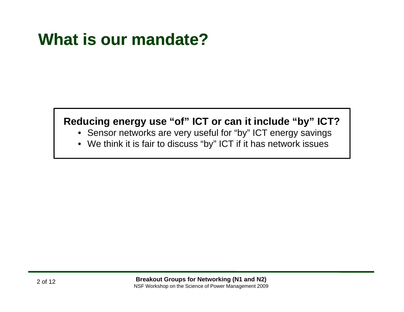# **What is our mandate?**

#### **Reducing energy use "of" ICT or can it include "by" ICT?**

- Sensor networks are very useful for "by" ICT energy savings
- We think it is fair to discuss "by" ICT if it has network issues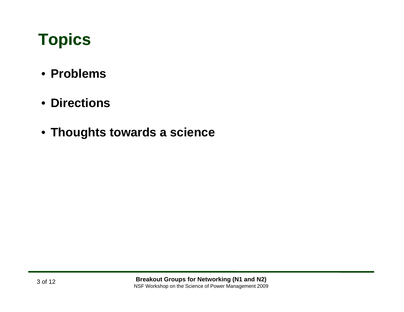# **Topics**

- **Problems**
- **Directions**
- **Thoughts towards <sup>a</sup> science**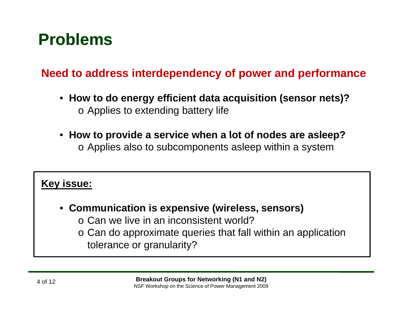## **Problems**

#### **Need to address interdependency of power and performance**

- **How to do energy efficient data acquisition (sensor nets)? energy** o Applies to extending battery life
- **How to provide <sup>a</sup> service when <sup>a</sup> lot of nodes are asleep?** o Applies also to subcomponents asleep within a system

#### **Key issue:**

- **Communication is expensive (wireless, sensors)** o Can we live in an inconsistent world?
	- o Can do approximate queries that fall within an application
		- tolerance or granularity?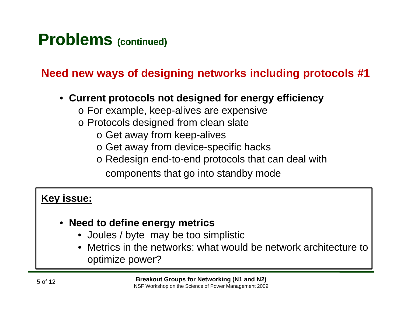### **Need new ways of designing networks including protocols #1**

- **Current protocols not designed for energy efficiency**
	- o For example, keep-alives are expensive
	- o Protocols designed from clean slate
		- $\circ$  Get away from keep-alives
		- o Get away from device-specific hacks
		- o Redesign end-to-end protocols that can deal with
			- components that go into standby mode

#### **Key issue:**

- **Need to define energy metrics**
	- Joules / byte may be too simplistic
	- • Metrics in the networks: what would be network architecture to optimize power?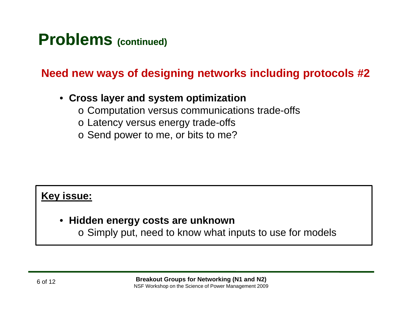**Need new ways of designing networks including protocols #2**

#### • **Cross layer and system optimization optimization**

- o Computation versus communications trade-offs
- o Latency versus energy trade-offs
- $\circ$  Send power to me, or bits to me?

#### **Key issue:**

• **Hidden energy costs are unknown**

o Simply put, need to know what inputs to use for models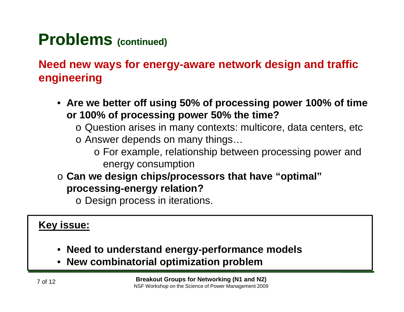**Need new ways for energy-aware network design and traffic engineering**

- **Are we better off using 50% of processing power 100% of time or 100% of processing power 50% the time?**
	- o Question arises in many contexts: multicore, data centers, etc
	- $\circ$  Answer depends on many things...
		- o For example, relationship between processing power and energy consumption
- o **Can we design chips/processors that have "optimal optimal" processing-energy relation?**

o Design process in iterations.

#### **Key issue:**

- **Need to understand energy-performance models gy p**
- **New combinatorial optimization problem**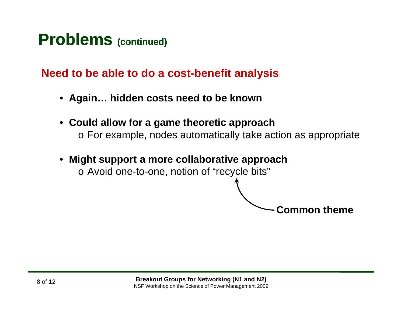#### **Need to be able to do a cost-benefit analysis**

- **Again hidden costs need to be known Again…**
- **Could allow for a game theoretic approach**  $\circ$  For example, nodes automatically take action as appropriate

**Common theme**

• **Might support a more collaborative approach**  $\circ$  Avoid one-to-one, notion of "recycle bits"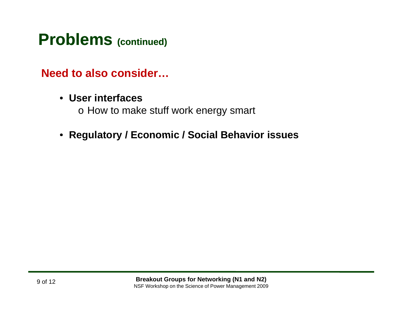#### **Need to also consider…**

• **User interfaces**

o How to make stuff work energy smart

• **Regulatory / Economic / Social Behavior issues**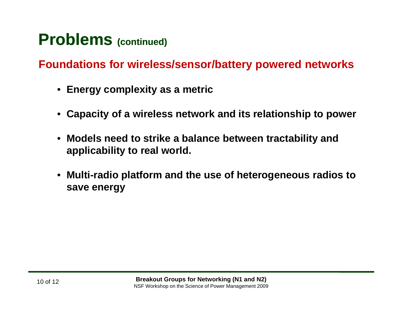**Foundations for wireless/sensor/battery powered networks**

- **Energy complexity as a metric**
- **Capacity of a wireless network and its relationship to power**
- $\bullet$  $\bullet\,$  Models need to strike a balance between tractability and **applicability to real world.**
- **Multi-radio platform and the use of heterogeneous radios to radio save energy**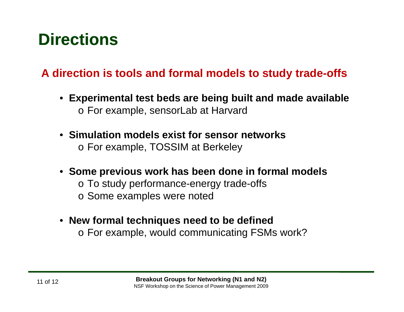# **Directions**

### **A direction is tools and formal models to study trade-offs**

- **Experimental test beds are being built and made available built** o For example, sensorLab at Harvard
- **Simulation models exist for sensor networks** o For example, TOSSIM at Berkeley
- **Some previous work has been done in formal models**
	- o To study performance-energy trade-offs
	- o Some examples were noted
- **New formal techniques need to be defined** o For example, would communicating FSMs work?